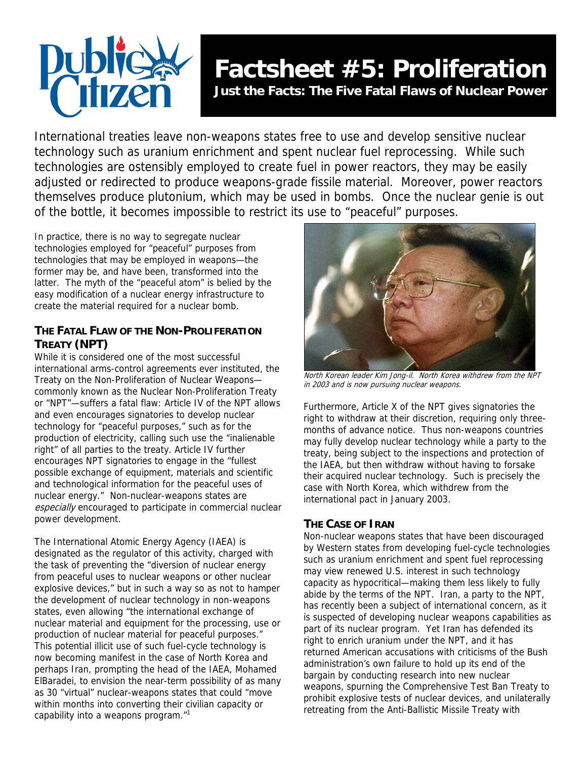

# **Factsheet #5: Proliferation**

**Just the Facts: The Five Fatal Flaws of Nuclear Power** 

International treaties leave non-weapons states free to use and develop sensitive nuclear technology such as uranium enrichment and spent nuclear fuel reprocessing. While such technologies are ostensibly employed to create fuel in power reactors, they may be easily adjusted or redirected to produce weapons-grade fissile material. Moreover, power reactors themselves produce plutonium, which may be used in bombs. Once the nuclear genie is out of the bottle, it becomes impossible to restrict its use to "peaceful" purposes.

In practice, there is no way to segregate nuclear technologies employed for "peaceful" purposes from technologies that may be employed in weapons—the former may be, and have been, transformed into the latter. The myth of the "peaceful atom" is belied by the easy modification of a nuclear energy infrastructure to create the material required for a nuclear bomb.

## **THE FATAL FLAW OF THE NON-PROLIFERATION TREATY (NPT)**

While it is considered one of the most successful international arms-control agreements ever instituted, the Treaty on the Non-Proliferation of Nuclear Weapons commonly known as the Nuclear Non-Proliferation Treaty or "NPT"—suffers a fatal flaw: Article IV of the NPT allows and even encourages signatories to develop nuclear technology for "peaceful purposes," such as for the production of electricity, calling such use the "inalienable right" of all parties to the treaty. Article IV further encourages NPT signatories to engage in the "fullest possible exchange of equipment, materials and scientific and technological information for the peaceful uses of nuclear energy." Non-nuclear-weapons states are especially encouraged to participate in commercial nuclear power development.

The International Atomic Energy Agency (IAEA) is designated as the regulator of this activity, charged with the task of preventing the "diversion of nuclear energy from peaceful uses to nuclear weapons or other nuclear explosive devices," but in such a way so as not to hamper the development of nuclear technology in non-weapons states, even allowing "the international exchange of nuclear material and equipment for the processing, use or production of nuclear material for peaceful purposes." This potential illicit use of such fuel-cycle technology is now becoming manifest in the case of North Korea and perhaps Iran, prompting the head of the IAEA, Mohamed ElBaradei, to envision the near-term possibility of as many as 30 "virtual" nuclear-weapons states that could "move within months into converting their civilian capacity or capability into a weapons program.["1](#page-1-0)



North Korean leader Kim Jong-il. North Korea withdrew from the NPT in 2003 and is now pursuing nuclear weapons.

Furthermore, Article X of the NPT gives signatories the right to withdraw at their discretion, requiring only threemonths of advance notice. Thus non-weapons countries may fully develop nuclear technology while a party to the treaty, being subject to the inspections and protection of the IAEA, but then withdraw without having to forsake their acquired nuclear technology. Such is precisely the case with North Korea, which withdrew from the international pact in January 2003.

### **THE CASE OF IRAN**

Non-nuclear weapons states that have been discouraged by Western states from developing fuel-cycle technologies such as uranium enrichment and spent fuel reprocessing may view renewed U.S. interest in such technology capacity as hypocritical—making them less likely to fully abide by the terms of the NPT. Iran, a party to the NPT, has recently been a subject of international concern, as it is suspected of developing nuclear weapons capabilities as part of its nuclear program. Yet Iran has defended its right to enrich uranium under the NPT, and it has returned American accusations with criticisms of the Bush administration's own failure to hold up its end of the bargain by conducting research into new nuclear weapons, spurning the Comprehensive Test Ban Treaty to prohibit explosive tests of nuclear devices, and unilaterally retreating from the Anti-Ballistic Missile Treaty with